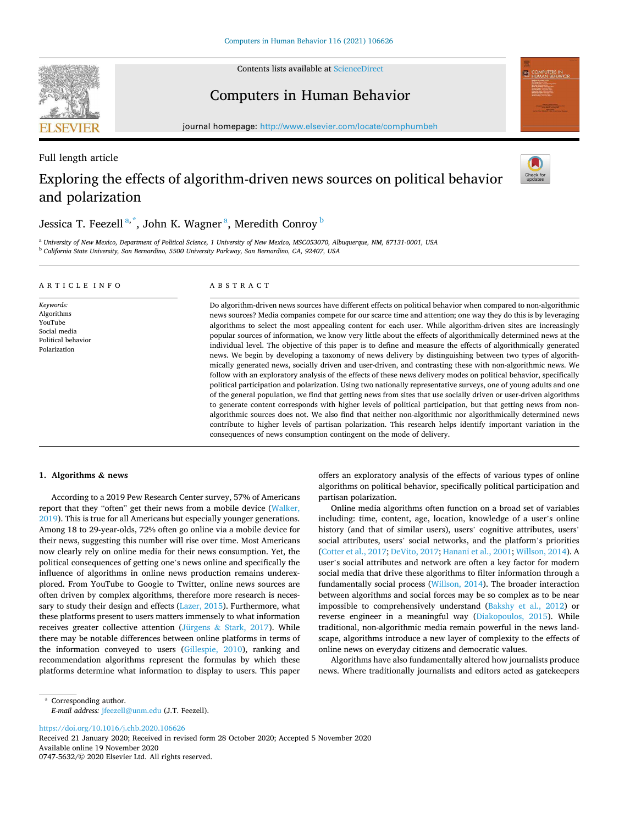Contents lists available at [ScienceDirect](www.sciencedirect.com/science/journal/07475632)



Full length article

Computers in Human Behavior

journal homepage: [http://www.elsevier.com/locate/comphumbeh](https://http://www.elsevier.com/locate/comphumbeh) 

# Exploring the effects of algorithm-driven news sources on political behavior and polarization



# Jessica T. Feezell $^{\mathrm{a},\mathrm{*}}$ , John K. Wagner $^{\mathrm{a}}$ , Meredith Conroy $^{\mathrm{b}}$

<sup>a</sup> *University of New Mexico, Department of Political Science, 1 University of New Mexico, MSC053070, Albuquerque, NM, 87131-0001, USA*  <sup>b</sup> *California State University, San Bernardino, 5500 University Parkway, San Bernardino, CA, 92407, USA* 

| ARTICLE INFO                                                                             | ABSTRACT                                                                                                                                                                                                                                                                                                                                                                                                                                                                                                                                                                                                                                                                                                                                                                                                                                                                                                                                                                                                                                                                                                                                                                                                                                                                                                                                                                                                                                                                                                                                                                                                         |
|------------------------------------------------------------------------------------------|------------------------------------------------------------------------------------------------------------------------------------------------------------------------------------------------------------------------------------------------------------------------------------------------------------------------------------------------------------------------------------------------------------------------------------------------------------------------------------------------------------------------------------------------------------------------------------------------------------------------------------------------------------------------------------------------------------------------------------------------------------------------------------------------------------------------------------------------------------------------------------------------------------------------------------------------------------------------------------------------------------------------------------------------------------------------------------------------------------------------------------------------------------------------------------------------------------------------------------------------------------------------------------------------------------------------------------------------------------------------------------------------------------------------------------------------------------------------------------------------------------------------------------------------------------------------------------------------------------------|
| Keywords:<br>Algorithms<br>YouTube<br>Social media<br>Political behavior<br>Polarization | Do algorithm-driven news sources have different effects on political behavior when compared to non-algorithmic<br>news sources? Media companies compete for our scarce time and attention; one way they do this is by leveraging<br>algorithms to select the most appealing content for each user. While algorithm-driven sites are increasingly<br>popular sources of information, we know very little about the effects of algorithmically determined news at the<br>individual level. The objective of this paper is to define and measure the effects of algorithmically generated<br>news. We begin by developing a taxonomy of news delivery by distinguishing between two types of algorith-<br>mically generated news, socially driven and user-driven, and contrasting these with non-algorithmic news. We<br>follow with an exploratory analysis of the effects of these news delivery modes on political behavior, specifically<br>political participation and polarization. Using two nationally representative surveys, one of young adults and one<br>of the general population, we find that getting news from sites that use socially driven or user-driven algorithms<br>to generate content corresponds with higher levels of political participation, but that getting news from non-<br>algorithmic sources does not. We also find that neither non-algorithmic nor algorithmically determined news<br>contribute to higher levels of partisan polarization. This research helps identify important variation in the<br>consequences of news consumption contingent on the mode of delivery. |

# **1. Algorithms & news**

According to a 2019 Pew Research Center survey, 57% of Americans report that they "often" get their news from a mobile device [\(Walker,](#page-10-0)  [2019\)](#page-10-0). This is true for all Americans but especially younger generations. Among 18 to 29-year-olds, 72% often go online via a mobile device for their news, suggesting this number will rise over time. Most Americans now clearly rely on online media for their news consumption. Yet, the political consequences of getting one's news online and specifically the influence of algorithms in online news production remains underexplored. From YouTube to Google to Twitter, online news sources are often driven by complex algorithms, therefore more research is neces-sary to study their design and effects ([Lazer, 2015\)](#page-9-0). Furthermore, what these platforms present to users matters immensely to what information receives greater collective attention (Jürgens & [Stark, 2017\)](#page-9-0). While there may be notable differences between online platforms in terms of the information conveyed to users [\(Gillespie, 2010](#page-9-0)), ranking and recommendation algorithms represent the formulas by which these platforms determine what information to display to users. This paper offers an exploratory analysis of the effects of various types of online algorithms on political behavior, specifically political participation and partisan polarization.

Online media algorithms often function on a broad set of variables including: time, content, age, location, knowledge of a user's online history (and that of similar users), users' cognitive attributes, users' social attributes, users' social networks, and the platform's priorities ([Cotter et al., 2017](#page-9-0); [DeVito, 2017](#page-9-0); [Hanani et al., 2001;](#page-9-0) [Willson, 2014](#page-10-0)). A user's social attributes and network are often a key factor for modern social media that drive these algorithms to filter information through a fundamentally social process [\(Willson, 2014\)](#page-10-0). The broader interaction between algorithms and social forces may be so complex as to be near impossible to comprehensively understand ([Bakshy et al., 2012](#page-8-0)) or reverse engineer in a meaningful way ([Diakopoulos, 2015](#page-9-0)). While traditional, non-algorithmic media remain powerful in the news landscape, algorithms introduce a new layer of complexity to the effects of online news on everyday citizens and democratic values.

Algorithms have also fundamentally altered how journalists produce news. Where traditionally journalists and editors acted as gatekeepers

<https://doi.org/10.1016/j.chb.2020.106626>

Available online 19 November 2020 0747-5632/© 2020 Elsevier Ltd. All rights reserved. Received 21 January 2020; Received in revised form 28 October 2020; Accepted 5 November 2020

<sup>\*</sup> Corresponding author. *E-mail address:* [jfeezell@unm.edu](mailto:jfeezell@unm.edu) (J.T. Feezell).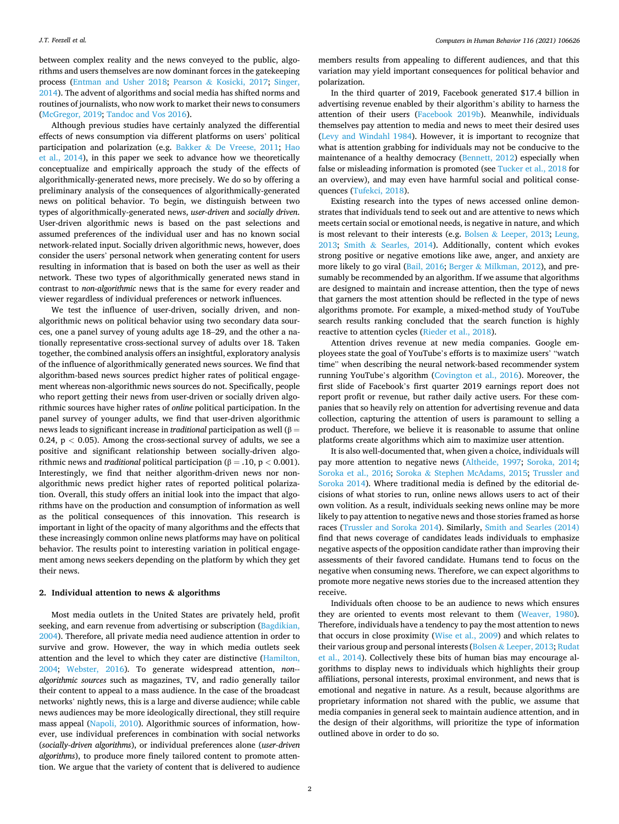between complex reality and the news conveyed to the public, algorithms and users themselves are now dominant forces in the gatekeeping process [\(Entman and Usher 2018;](#page-9-0) Pearson & [Kosicki, 2017](#page-9-0); [Singer,](#page-9-0)  [2014\)](#page-9-0). The advent of algorithms and social media has shifted norms and routines of journalists, who now work to market their news to consumers ([McGregor, 2019](#page-9-0); [Tandoc and Vos 2016\)](#page-10-0).

Although previous studies have certainly analyzed the differential effects of news consumption via different platforms on users' political participation and polarization (e.g. Bakker & [De Vreese, 2011](#page-8-0); [Hao](#page-9-0)  [et al., 2014\)](#page-9-0), in this paper we seek to advance how we theoretically conceptualize and empirically approach the study of the effects of algorithmically-generated news, more precisely. We do so by offering a preliminary analysis of the consequences of algorithmically-generated news on political behavior. To begin, we distinguish between two types of algorithmically-generated news, *user-driven* and *socially driven*. User-driven algorithmic news is based on the past selections and assumed preferences of the individual user and has no known social network-related input. Socially driven algorithmic news, however, does consider the users' personal network when generating content for users resulting in information that is based on both the user as well as their network. These two types of algorithmically generated news stand in contrast to *non-algorithmic* news that is the same for every reader and viewer regardless of individual preferences or network influences.

We test the influence of user-driven, socially driven, and nonalgorithmic news on political behavior using two secondary data sources, one a panel survey of young adults age 18–29, and the other a nationally representative cross-sectional survey of adults over 18. Taken together, the combined analysis offers an insightful, exploratory analysis of the influence of algorithmically generated news sources. We find that algorithm-based news sources predict higher rates of political engagement whereas non-algorithmic news sources do not. Specifically, people who report getting their news from user-driven or socially driven algorithmic sources have higher rates of *online* political participation. In the panel survey of younger adults, we find that user-driven algorithmic news leads to significant increase in *traditional* participation as well (β = 0.24, p *<* 0.05). Among the cross-sectional survey of adults, we see a positive and significant relationship between socially-driven algorithmic news and *traditional* political participation ( $β = .10$ ,  $p < 0.001$ ). Interestingly, we find that neither algorithm-driven news nor nonalgorithmic news predict higher rates of reported political polarization. Overall, this study offers an initial look into the impact that algorithms have on the production and consumption of information as well as the political consequences of this innovation. This research is important in light of the opacity of many algorithms and the effects that these increasingly common online news platforms may have on political behavior. The results point to interesting variation in political engagement among news seekers depending on the platform by which they get their news.

#### **2. Individual attention to news & algorithms**

Most media outlets in the United States are privately held, profit seeking, and earn revenue from advertising or subscription [\(Bagdikian,](#page-8-0)  [2004\)](#page-8-0). Therefore, all private media need audience attention in order to survive and grow. However, the way in which media outlets seek attention and the level to which they cater are distinctive [\(Hamilton,](#page-9-0)  [2004;](#page-9-0) [Webster, 2016\)](#page-10-0). To generate widespread attention, *non- algorithmic sources* such as magazines, TV, and radio generally tailor their content to appeal to a mass audience. In the case of the broadcast networks' nightly news, this is a large and diverse audience; while cable news audiences may be more ideologically directional, they still require mass appeal ([Napoli, 2010\)](#page-9-0). Algorithmic sources of information, however, use individual preferences in combination with social networks (*socially-driven algorithms*), or individual preferences alone (*user-driven algorithms*), to produce more finely tailored content to promote attention. We argue that the variety of content that is delivered to audience members results from appealing to different audiences, and that this variation may yield important consequences for political behavior and polarization.

In the third quarter of 2019, Facebook generated \$17.4 billion in advertising revenue enabled by their algorithm's ability to harness the attention of their users [\(Facebook 2019b\)](#page-9-0). Meanwhile, individuals themselves pay attention to media and news to meet their desired uses ([Levy and Windahl 1984](#page-9-0)). However, it is important to recognize that what is attention grabbing for individuals may not be conducive to the maintenance of a healthy democracy ([Bennett, 2012](#page-8-0)) especially when false or misleading information is promoted (see [Tucker et al., 2018](#page-10-0) for an overview), and may even have harmful social and political consequences [\(Tufekci, 2018\)](#page-10-0).

Existing research into the types of news accessed online demonstrates that individuals tend to seek out and are attentive to news which meets certain social or emotional needs, is negative in nature, and which is most relevant to their interests (e.g. Bolsen & [Leeper, 2013;](#page-8-0) [Leung,](#page-9-0)  [2013;](#page-9-0) Smith & [Searles, 2014\)](#page-9-0). Additionally, content which evokes strong positive or negative emotions like awe, anger, and anxiety are more likely to go viral [\(Bail, 2016;](#page-8-0) Berger & [Milkman, 2012](#page-8-0)), and presumably be recommended by an algorithm. If we assume that algorithms are designed to maintain and increase attention, then the type of news that garners the most attention should be reflected in the type of news algorithms promote. For example, a mixed-method study of YouTube search results ranking concluded that the search function is highly reactive to attention cycles [\(Rieder et al., 2018\)](#page-9-0).

Attention drives revenue at new media companies. Google employees state the goal of YouTube's efforts is to maximize users' "watch time" when describing the neural network-based recommender system running YouTube's algorithm [\(Covington et al., 2016](#page-9-0)). Moreover, the first slide of Facebook's first quarter 2019 earnings report does not report profit or revenue, but rather daily active users. For these companies that so heavily rely on attention for advertising revenue and data collection, capturing the attention of users is paramount to selling a product. Therefore, we believe it is reasonable to assume that online platforms create algorithms which aim to maximize user attention.

It is also well-documented that, when given a choice, individuals will pay more attention to negative news [\(Altheide, 1997;](#page-8-0) [Soroka, 2014](#page-10-0); [Soroka et al., 2016;](#page-10-0) Soroka & [Stephen McAdams, 2015;](#page-10-0) [Trussler and](#page-10-0)  [Soroka 2014\)](#page-10-0). Where traditional media is defined by the editorial decisions of what stories to run, online news allows users to act of their own volition. As a result, individuals seeking news online may be more likely to pay attention to negative news and those stories framed as horse races [\(Trussler and Soroka 2014](#page-10-0)). Similarly, [Smith and Searles \(2014\)](#page-9-0)  find that news coverage of candidates leads individuals to emphasize negative aspects of the opposition candidate rather than improving their assessments of their favored candidate. Humans tend to focus on the negative when consuming news. Therefore, we can expect algorithms to promote more negative news stories due to the increased attention they receive.

Individuals often choose to be an audience to news which ensures they are oriented to events most relevant to them ([Weaver, 1980](#page-10-0)). Therefore, individuals have a tendency to pay the most attention to news that occurs in close proximity ([Wise et al., 2009](#page-10-0)) and which relates to their various group and personal interests (Bolsen & [Leeper, 2013;](#page-8-0) [Rudat](#page-9-0)  [et al., 2014\)](#page-9-0). Collectively these bits of human bias may encourage algorithms to display news to individuals which highlights their group affiliations, personal interests, proximal environment, and news that is emotional and negative in nature. As a result, because algorithms are proprietary information not shared with the public, we assume that media companies in general seek to maintain audience attention, and in the design of their algorithms, will prioritize the type of information outlined above in order to do so.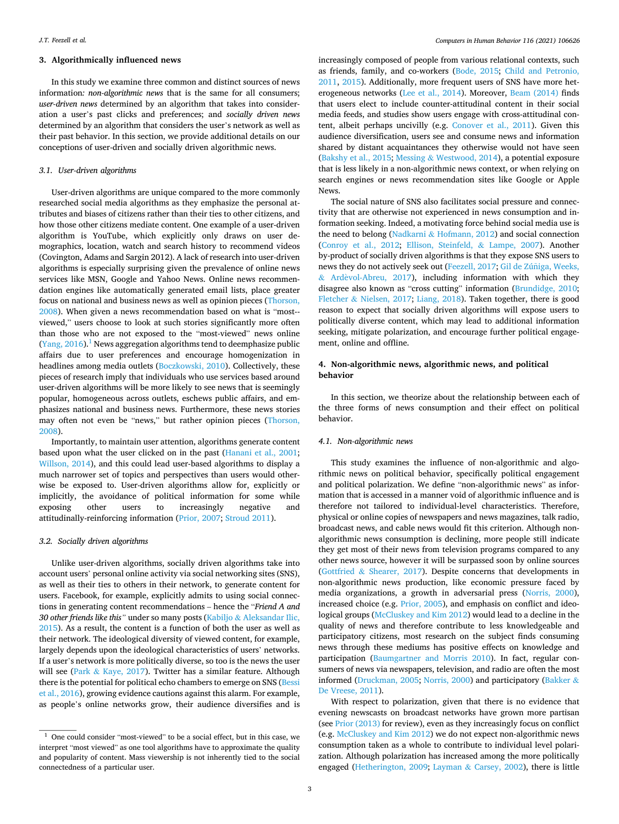# **3. Algorithmically influenced news**

In this study we examine three common and distinct sources of news information*: non-algorithmic news* that is the same for all consumers; *user-driven news* determined by an algorithm that takes into consideration a user's past clicks and preferences; and *socially driven news*  determined by an algorithm that considers the user's network as well as their past behavior. In this section, we provide additional details on our conceptions of user-driven and socially driven algorithmic news.

# *3.1. User-driven algorithms*

User-driven algorithms are unique compared to the more commonly researched social media algorithms as they emphasize the personal attributes and biases of citizens rather than their ties to other citizens, and how those other citizens mediate content. One example of a user-driven algorithm is YouTube, which explicitly only draws on user demographics, location, watch and search history to recommend videos (Covington, Adams and Sargin 2012). A lack of research into user-driven algorithms is especially surprising given the prevalence of online news services like MSN, Google and Yahoo News. Online news recommendation engines like automatically generated email lists, place greater focus on national and business news as well as opinion pieces ([Thorson,](#page-10-0)  [2008\)](#page-10-0). When given a news recommendation based on what is "most- viewed," users choose to look at such stories significantly more often than those who are not exposed to the "most-viewed" news online  $(Yang, 2016).$  $(Yang, 2016).$  $(Yang, 2016).$ <sup>1</sup> News aggregation algorithms tend to deemphasize public affairs due to user preferences and encourage homogenization in headlines among media outlets ([Boczkowski, 2010\)](#page-8-0). Collectively, these pieces of research imply that individuals who use services based around user-driven algorithms will be more likely to see news that is seemingly popular, homogeneous across outlets, eschews public affairs, and emphasizes national and business news. Furthermore, these news stories may often not even be "news," but rather opinion pieces ([Thorson,](#page-10-0)  [2008\)](#page-10-0).

Importantly, to maintain user attention, algorithms generate content based upon what the user clicked on in the past ([Hanani et al., 2001](#page-9-0); [Willson, 2014](#page-10-0)), and this could lead user-based algorithms to display a much narrower set of topics and perspectives than users would otherwise be exposed to. User-driven algorithms allow for, explicitly or implicitly, the avoidance of political information for some while exposing other users to increasingly negative and attitudinally-reinforcing information [\(Prior, 2007](#page-9-0); [Stroud 2011\)](#page-10-0).

# *3.2. Socially driven algorithms*

Unlike user-driven algorithms, socially driven algorithms take into account users' personal online activity via social networking sites (SNS), as well as their ties to others in their network, to generate content for users. Facebook, for example, explicitly admits to using social connections in generating content recommendations – hence the "*Friend A and 30 other friends like this"* under so many posts (Kabiljo & [Aleksandar Ilic,](#page-9-0)  [2015\)](#page-9-0). As a result, the content is a function of both the user as well as their network. The ideological diversity of viewed content, for example, largely depends upon the ideological characteristics of users' networks. If a user's network is more politically diverse, so too is the news the user will see (Park & [Kaye, 2017\)](#page-9-0). Twitter has a similar feature. Although there is the potential for political echo chambers to emerge on SNS [\(Bessi](#page-8-0)  [et al., 2016](#page-8-0)), growing evidence cautions against this alarm. For example, as people's online networks grow, their audience diversifies and is

increasingly composed of people from various relational contexts, such as friends, family, and co-workers ([Bode, 2015](#page-8-0); [Child and Petronio,](#page-9-0)  [2011, 2015](#page-9-0)). Additionally, more frequent users of SNS have more heterogeneous networks ([Lee et al., 2014\)](#page-9-0). Moreover, [Beam \(2014\)](#page-8-0) finds that users elect to include counter-attitudinal content in their social media feeds, and studies show users engage with cross-attitudinal content, albeit perhaps uncivilly (e.g. [Conover et al., 2011](#page-9-0)). Given this audience diversification, users see and consume news and information shared by distant acquaintances they otherwise would not have seen ([Bakshy et al., 2015;](#page-8-0) Messing & [Westwood, 2014\)](#page-9-0), a potential exposure that is less likely in a non-algorithmic news context, or when relying on search engines or news recommendation sites like Google or Apple News.

The social nature of SNS also facilitates social pressure and connectivity that are otherwise not experienced in news consumption and information seeking. Indeed, a motivating force behind social media use is the need to belong (Nadkarni & [Hofmann, 2012](#page-9-0)) and social connection ([Conroy et al., 2012;](#page-9-0) [Ellison, Steinfeld,](#page-9-0) & Lampe, 2007). Another by-product of socially driven algorithms is that they expose SNS users to news they do not actively seek out (Feezell, 2017; Gil de Zúñiga, Weeks,  $&$  Ardèvol-Abreu, 2017), including information with which they disagree also known as "cross cutting" information ([Brundidge, 2010](#page-9-0); Fletcher & [Nielsen, 2017](#page-9-0); [Liang, 2018\)](#page-9-0). Taken together, there is good reason to expect that socially driven algorithms will expose users to politically diverse content, which may lead to additional information seeking, mitigate polarization, and encourage further political engagement, online and offline.

# **4. Non-algorithmic news, algorithmic news, and political behavior**

In this section, we theorize about the relationship between each of the three forms of news consumption and their effect on political behavior.

#### *4.1. Non-algorithmic news*

This study examines the influence of non-algorithmic and algorithmic news on political behavior, specifically political engagement and political polarization. We define "non-algorithmic news" as information that is accessed in a manner void of algorithmic influence and is therefore not tailored to individual-level characteristics. Therefore, physical or online copies of newspapers and news magazines, talk radio, broadcast news, and cable news would fit this criterion. Although nonalgorithmic news consumption is declining, more people still indicate they get most of their news from television programs compared to any other news source, however it will be surpassed soon by online sources (Gottfried & [Shearer, 2017](#page-9-0)). Despite concerns that developments in non-algorithmic news production, like economic pressure faced by media organizations, a growth in adversarial press ([Norris, 2000](#page-9-0)), increased choice (e.g. [Prior, 2005\)](#page-9-0), and emphasis on conflict and ideological groups ([McCluskey and Kim 2012\)](#page-9-0) would lead to a decline in the quality of news and therefore contribute to less knowledgeable and participatory citizens, most research on the subject finds consuming news through these mediums has positive effects on knowledge and participation [\(Baumgartner and Morris 2010](#page-8-0)). In fact, regular consumers of news via newspapers, television, and radio are often the most informed [\(Druckman, 2005](#page-9-0); [Norris, 2000](#page-9-0)) and participatory ([Bakker](#page-8-0) & [De Vreese, 2011](#page-8-0)).

With respect to polarization, given that there is no evidence that evening newscasts on broadcast networks have grown more partisan (see [Prior \(2013\)](#page-9-0) for review), even as they increasingly focus on conflict (e.g. [McCluskey and Kim 2012](#page-9-0)) we do not expect non-algorithmic news consumption taken as a whole to contribute to individual level polarization. Although polarization has increased among the more politically engaged ([Hetherington, 2009;](#page-9-0) Layman & [Carsey, 2002](#page-9-0)), there is little

 $1$  One could consider "most-viewed" to be a social effect, but in this case, we interpret "most viewed" as one tool algorithms have to approximate the quality and popularity of content. Mass viewership is not inherently tied to the social connectedness of a particular user.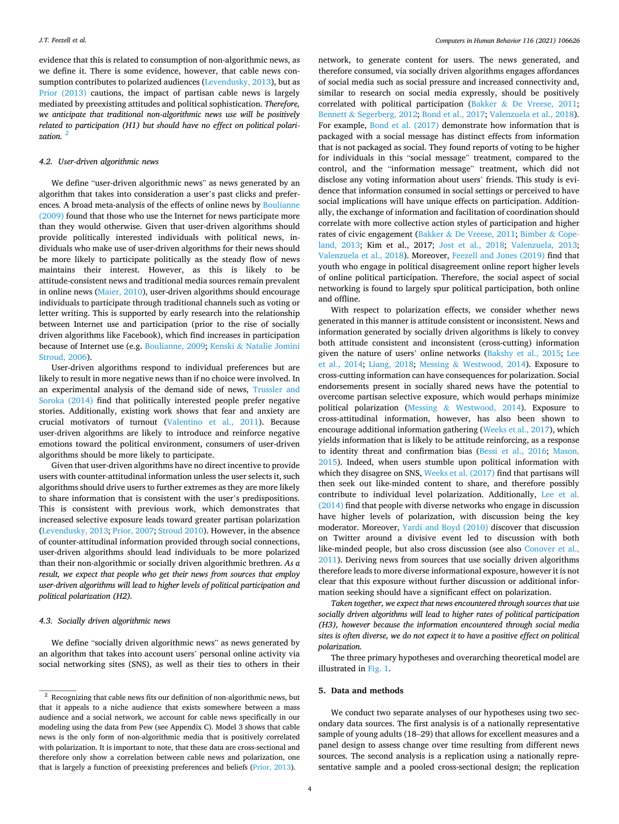evidence that this is related to consumption of non-algorithmic news, as we define it. There is some evidence, however, that cable news consumption contributes to polarized audiences [\(Levendusky, 2013\)](#page-9-0), but as [Prior \(2013\)](#page-9-0) cautions, the impact of partisan cable news is largely mediated by preexisting attitudes and political sophistication. *Therefore, we anticipate that traditional non-algorithmic news use will be positively related to participation (H1) but should have no effect on political polarization. <sup>2</sup>*

# *4.2. User-driven algorithmic news*

We define "user-driven algorithmic news" as news generated by an algorithm that takes into consideration a user's past clicks and preferences*.* A broad meta-analysis of the effects of online news by [Boulianne](#page-9-0)  [\(2009\)](#page-9-0) found that those who use the Internet for news participate more than they would otherwise. Given that user-driven algorithms should provide politically interested individuals with political news, individuals who make use of user-driven algorithms for their news should be more likely to participate politically as the steady flow of news maintains their interest. However, as this is likely to be attitude-consistent news and traditional media sources remain prevalent in online news [\(Maier, 2010](#page-9-0)), user-driven algorithms should encourage individuals to participate through traditional channels such as voting or letter writing. This is supported by early research into the relationship between Internet use and participation (prior to the rise of socially driven algorithms like Facebook), which find increases in participation because of Internet use (e.g. [Boulianne, 2009;](#page-9-0) Kenski & [Natalie Jomini](#page-9-0)  [Stroud, 2006\)](#page-9-0).

User-driven algorithms respond to individual preferences but are likely to result in more negative news than if no choice were involved. In an experimental analysis of the demand side of news, [Trussler and](#page-10-0)  [Soroka \(2014\)](#page-10-0) find that politically interested people prefer negative stories. Additionally, existing work shows that fear and anxiety are crucial motivators of turnout ([Valentino et al., 2011](#page-10-0)). Because user-driven algorithms are likely to introduce and reinforce negative emotions toward the political environment, consumers of user-driven algorithms should be more likely to participate.

Given that user-driven algorithms have no direct incentive to provide users with counter-attitudinal information unless the user selects it, such algorithms should drive users to further extremes as they are more likely to share information that is consistent with the user's predispositions. This is consistent with previous work, which demonstrates that increased selective exposure leads toward greater partisan polarization ([Levendusky, 2013](#page-9-0); [Prior, 2007](#page-9-0); [Stroud 2010\)](#page-10-0). However, in the absence of counter-attitudinal information provided through social connections, user-driven algorithms should lead individuals to be more polarized than their non-algorithmic or socially driven algorithmic brethren. *As a result, we expect that people who get their news from sources that employ user-driven algorithms will lead to higher levels of political participation and political polarization (H2).* 

# *4.3. Socially driven algorithmic news*

We define "socially driven algorithmic news" as news generated by an algorithm that takes into account users' personal online activity via social networking sites (SNS), as well as their ties to others in their network, to generate content for users. The news generated, and therefore consumed, via socially driven algorithms engages affordances of social media such as social pressure and increased connectivity and, similar to research on social media expressly, should be positively correlated with political participation (Bakker & [De Vreese, 2011](#page-8-0); Bennett & [Segerberg, 2012;](#page-8-0) [Bond et al., 2017;](#page-9-0) [Valenzuela et al., 2018](#page-10-0)). For example, [Bond et al. \(2017\)](#page-9-0) demonstrate how information that is packaged with a social message has distinct effects from information that is not packaged as social. They found reports of voting to be higher for individuals in this "social message" treatment, compared to the control, and the "information message" treatment, which did not disclose any voting information about users' friends. This study is evidence that information consumed in social settings or perceived to have social implications will have unique effects on participation. Additionally, the exchange of information and facilitation of coordination should correlate with more collective action styles of participation and higher rates of civic engagement (Bakker & [De Vreese, 2011](#page-8-0); [Bimber](#page-8-0) & Cope[land, 2013;](#page-8-0) Kim et al., 2017; [Jost et al., 2018;](#page-9-0) [Valenzuela, 2013](#page-10-0); [Valenzuela et al., 2018\)](#page-10-0). Moreover, [Feezell and Jones \(2019\)](#page-9-0) find that youth who engage in political disagreement online report higher levels of online political participation. Therefore, the social aspect of social networking is found to largely spur political participation, both online and offline.

With respect to polarization effects, we consider whether news generated in this manner is attitude consistent or inconsistent. News and information generated by socially driven algorithms is likely to convey both attitude consistent and inconsistent (cross-cutting) information given the nature of users' online networks ([Bakshy et al., 2015;](#page-8-0) [Lee](#page-9-0)  [et al., 2014](#page-9-0); [Liang, 2018](#page-9-0); Messing & [Westwood, 2014](#page-9-0)). Exposure to cross-cutting information can have consequences for polarization. Social endorsements present in socially shared news have the potential to overcome partisan selective exposure, which would perhaps minimize political polarization (Messing & [Westwood, 2014](#page-9-0)). Exposure to cross-attitudinal information, however, has also been shown to encourage additional information gathering ([Weeks et al., 2017\)](#page-10-0), which yields information that is likely to be attitude reinforcing, as a response to identity threat and confirmation bias [\(Bessi et al., 2016](#page-8-0); [Mason,](#page-9-0)  [2015\)](#page-9-0). Indeed, when users stumble upon political information with which they disagree on SNS, [Weeks et al. \(2017\)](#page-10-0) find that partisans will then seek out like-minded content to share, and therefore possibly contribute to individual level polarization. Additionally, [Lee et al.](#page-9-0)  [\(2014\)](#page-9-0) find that people with diverse networks who engage in discussion have higher levels of polarization, with discussion being the key moderator. Moreover, [Yardi and Boyd \(2010\)](#page-10-0) discover that discussion on Twitter around a divisive event led to discussion with both like-minded people, but also cross discussion (see also [Conover et al.,](#page-9-0)  [2011\)](#page-9-0). Deriving news from sources that use socially driven algorithms therefore leads to more diverse informational exposure, however it is not clear that this exposure without further discussion or additional information seeking should have a significant effect on polarization.

*Taken together, we expect that news encountered through sources that use socially driven algorithms will lead to higher rates of political participation (H3), however because the information encountered through social media sites is often diverse, we do not expect it to have a positive effect on political polarization.* 

The three primary hypotheses and overarching theoretical model are illustrated in [Fig. 1](#page-4-0).

# **5. Data and methods**

We conduct two separate analyses of our hypotheses using two secondary data sources. The first analysis is of a nationally representative sample of young adults (18–29) that allows for excellent measures and a panel design to assess change over time resulting from different news sources. The second analysis is a replication using a nationally representative sample and a pooled cross-sectional design; the replication

 $^{\rm 2}$  Recognizing that cable news fits our definition of non-algorithmic news, but that it appeals to a niche audience that exists somewhere between a mass audience and a social network, we account for cable news specifically in our modeling using the data from Pew (see Appendix C). Model 3 shows that cable news is the only form of non-algorithmic media that is positively correlated with polarization. It is important to note, that these data are cross-sectional and therefore only show a correlation between cable news and polarization, one that is largely a function of preexisting preferences and beliefs ([Prior, 2013\)](#page-9-0).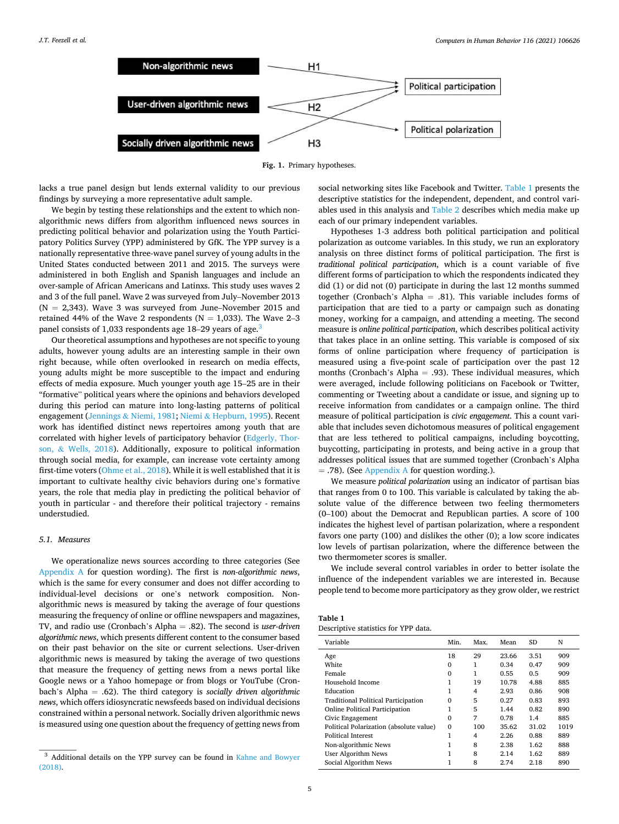<span id="page-4-0"></span>

**Fig. 1.** Primary hypotheses.

lacks a true panel design but lends external validity to our previous findings by surveying a more representative adult sample.

We begin by testing these relationships and the extent to which nonalgorithmic news differs from algorithm influenced news sources in predicting political behavior and polarization using the Youth Participatory Politics Survey (YPP) administered by GfK. The YPP survey is a nationally representative three-wave panel survey of young adults in the United States conducted between 2011 and 2015. The surveys were administered in both English and Spanish languages and include an over-sample of African Americans and Latinxs. This study uses waves 2 and 3 of the full panel. Wave 2 was surveyed from July–November 2013  $(N = 2,343)$ . Wave 3 was surveyed from June–November 2015 and retained 44% of the Wave 2 respondents ( $N = 1,033$ ). The Wave 2–3 panel consists of 1,033 respondents age 18–29 years of age.<sup>3</sup>

Our theoretical assumptions and hypotheses are not specific to young adults, however young adults are an interesting sample in their own right because, while often overlooked in research on media effects, young adults might be more susceptible to the impact and enduring effects of media exposure. Much younger youth age 15–25 are in their "formative" political years where the opinions and behaviors developed during this period can mature into long-lasting patterns of political engagement (Jennings & [Niemi, 1981](#page-9-0); Niemi & [Hepburn, 1995\)](#page-9-0). Recent work has identified distinct news repertoires among youth that are correlated with higher levels of participatory behavior [\(Edgerly, Thor](#page-9-0)son, & [Wells, 2018](#page-9-0)). Additionally, exposure to political information through social media, for example, can increase vote certainty among first-time voters ([Ohme et al., 2018\)](#page-9-0). While it is well established that it is important to cultivate healthy civic behaviors during one's formative years, the role that media play in predicting the political behavior of youth in particular - and therefore their political trajectory - remains understudied.

# *5.1. Measures*

We operationalize news sources according to three categories (See Appendix A for question wording). The first is *non-algorithmic news*, which is the same for every consumer and does not differ according to individual-level decisions or one's network composition. Nonalgorithmic news is measured by taking the average of four questions measuring the frequency of online or offline newspapers and magazines, TV, and radio use (Cronbach's Alpha = .82). The second is *user-driven algorithmic news*, which presents different content to the consumer based on their past behavior on the site or current selections. User-driven algorithmic news is measured by taking the average of two questions that measure the frequency of getting news from a news portal like Google news or a Yahoo homepage or from blogs or YouTube (Cronbach's Alpha = .62). The third category is *socially driven algorithmic news*, which offers idiosyncratic newsfeeds based on individual decisions constrained within a personal network. Socially driven algorithmic news is measured using one question about the frequency of getting news from social networking sites like Facebook and Twitter. Table 1 presents the descriptive statistics for the independent, dependent, and control variables used in this analysis and [Table 2](#page-5-0) describes which media make up each of our primary independent variables.

Hypotheses 1-3 address both political participation and political polarization as outcome variables. In this study, we run an exploratory analysis on three distinct forms of political participation. The first is *traditional political participation*, which is a count variable of five different forms of participation to which the respondents indicated they did (1) or did not (0) participate in during the last 12 months summed together (Cronbach's Alpha = .81). This variable includes forms of participation that are tied to a party or campaign such as donating money, working for a campaign, and attending a meeting. The second measure is *online political participation*, which describes political activity that takes place in an online setting. This variable is composed of six forms of online participation where frequency of participation is measured using a five-point scale of participation over the past 12 months (Cronbach's Alpha = .93). These individual measures, which were averaged, include following politicians on Facebook or Twitter, commenting or Tweeting about a candidate or issue, and signing up to receive information from candidates or a campaign online. The third measure of political participation is *civic engagement*. This a count variable that includes seven dichotomous measures of political engagement that are less tethered to political campaigns, including boycotting, buycotting, participating in protests, and being active in a group that addresses political issues that are summed together (Cronbach's Alpha  $=$  .78). (See Appendix A for question wording.).

We measure *political polarization* using an indicator of partisan bias that ranges from 0 to 100. This variable is calculated by taking the absolute value of the difference between two feeling thermometers (0–100) about the Democrat and Republican parties. A score of 100 indicates the highest level of partisan polarization, where a respondent favors one party (100) and dislikes the other (0); a low score indicates low levels of partisan polarization, where the difference between the two thermometer scores is smaller.

We include several control variables in order to better isolate the influence of the independent variables we are interested in. Because people tend to become more participatory as they grow older, we restrict

| Table |  |
|-------|--|
|-------|--|

| Descriptive statistics for YPP data. |  |  |  |
|--------------------------------------|--|--|--|
|--------------------------------------|--|--|--|

| Variable                                | Min.     | Max. | Mean  | SD    | N    |
|-----------------------------------------|----------|------|-------|-------|------|
| Age                                     | 18       | 29   | 23.66 | 3.51  | 909  |
| White                                   | $\Omega$ | 1    | 0.34  | 0.47  | 909  |
| Female                                  | $\Omega$ | 1    | 0.55  | 0.5   | 909  |
| Household Income                        | 1        | 19   | 10.78 | 4.88  | 885  |
| Education                               |          | 4    | 2.93  | 0.86  | 908  |
| Traditional Political Participation     | 0        | 5    | 0.27  | 0.83  | 893  |
| Online Political Participation          | 1        | 5    | 1.44  | 0.82  | 890  |
| Civic Engagement                        | 0        | 7    | 0.78  | 1.4   | 885  |
| Political Polarization (absolute value) | $\Omega$ | 100  | 35.62 | 31.02 | 1019 |
| <b>Political Interest</b>               | 1        | 4    | 2.26  | 0.88  | 889  |
| Non-algorithmic News                    | 1        | 8    | 2.38  | 1.62  | 888  |
| User Algorithm News                     | 1        | 8    | 2.14  | 1.62  | 889  |
| Social Algorithm News                   | 1        | 8    | 2.74  | 2.18  | 890  |

<sup>&</sup>lt;sup>3</sup> Additional details on the YPP survey can be found in Kahne and Bowyer [\(2018\)](#page-9-0).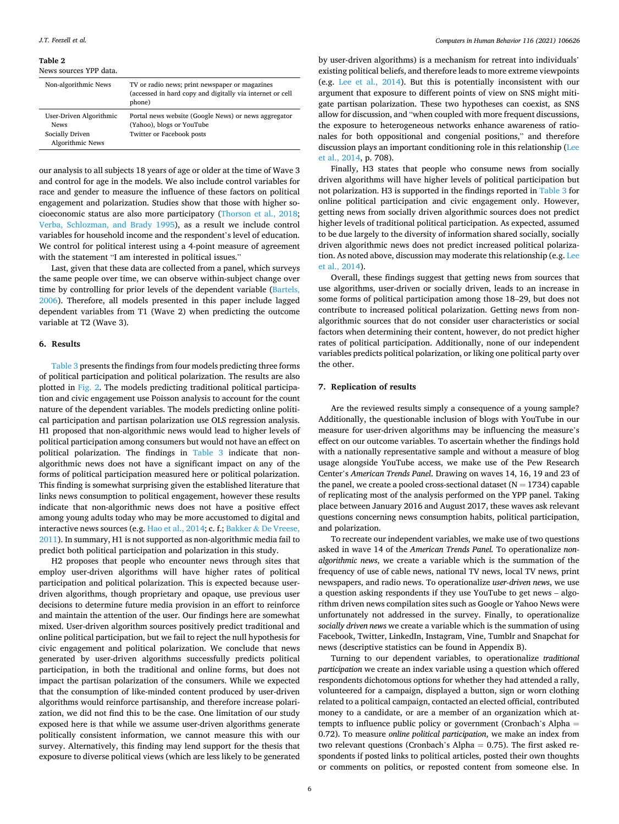#### <span id="page-5-0"></span>**Table 2**

News sources YPP data.

| Non-algorithmic News                                                          | TV or radio news; print newspaper or magazines<br>(accessed in hard copy and digitally via internet or cell<br>phone) |
|-------------------------------------------------------------------------------|-----------------------------------------------------------------------------------------------------------------------|
| User-Driven Algorithmic<br><b>News</b><br>Socially Driven<br>Algorithmic News | Portal news website (Google News) or news aggregator<br>(Yahoo), blogs or YouTube<br>Twitter or Facebook posts        |

our analysis to all subjects 18 years of age or older at the time of Wave 3 and control for age in the models. We also include control variables for race and gender to measure the influence of these factors on political engagement and polarization. Studies show that those with higher socioeconomic status are also more participatory ([Thorson et al., 2018](#page-10-0); [Verba, Schlozman, and Brady 1995](#page-10-0)), as a result we include control variables for household income and the respondent's level of education. We control for political interest using a 4-point measure of agreement with the statement "I am interested in political issues."

Last, given that these data are collected from a panel, which surveys the same people over time, we can observe within-subject change over time by controlling for prior levels of the dependent variable [\(Bartels,](#page-8-0)  [2006\)](#page-8-0). Therefore, all models presented in this paper include lagged dependent variables from T1 (Wave 2) when predicting the outcome variable at T2 (Wave 3).

# **6. Results**

[Table 3](#page-6-0) presents the findings from four models predicting three forms of political participation and political polarization. The results are also plotted in [Fig. 2.](#page-7-0) The models predicting traditional political participation and civic engagement use Poisson analysis to account for the count nature of the dependent variables. The models predicting online political participation and partisan polarization use OLS regression analysis. H1 proposed that non-algorithmic news would lead to higher levels of political participation among consumers but would not have an effect on political polarization. The findings in [Table 3](#page-6-0) indicate that nonalgorithmic news does not have a significant impact on any of the forms of political participation measured here or political polarization. This finding is somewhat surprising given the established literature that links news consumption to political engagement, however these results indicate that non-algorithmic news does not have a positive effect among young adults today who may be more accustomed to digital and interactive news sources (e.g. [Hao et al., 2014;](#page-9-0) c. f.; Bakker & [De Vreese,](#page-8-0)  [2011\)](#page-8-0). In summary, H1 is not supported as non-algorithmic media fail to predict both political participation and polarization in this study.

H2 proposes that people who encounter news through sites that employ user-driven algorithms will have higher rates of political participation and political polarization. This is expected because userdriven algorithms, though proprietary and opaque, use previous user decisions to determine future media provision in an effort to reinforce and maintain the attention of the user. Our findings here are somewhat mixed. User-driven algorithm sources positively predict traditional and online political participation, but we fail to reject the null hypothesis for civic engagement and political polarization. We conclude that news generated by user-driven algorithms successfully predicts political participation, in both the traditional and online forms, but does not impact the partisan polarization of the consumers. While we expected that the consumption of like-minded content produced by user-driven algorithms would reinforce partisanship, and therefore increase polarization, we did not find this to be the case. One limitation of our study exposed here is that while we assume user-driven algorithms generate politically consistent information, we cannot measure this with our survey. Alternatively, this finding may lend support for the thesis that exposure to diverse political views (which are less likely to be generated

by user-driven algorithms) is a mechanism for retreat into individuals' existing political beliefs, and therefore leads to more extreme viewpoints (e.g. [Lee et al., 2014\)](#page-9-0). But this is potentially inconsistent with our argument that exposure to different points of view on SNS might mitigate partisan polarization. These two hypotheses can coexist, as SNS allow for discussion, and "when coupled with more frequent discussions, the exposure to heterogeneous networks enhance awareness of rationales for both oppositional and congenial positions," and therefore discussion plays an important conditioning role in this relationship ([Lee](#page-9-0)  [et al., 2014,](#page-9-0) p. 708).

Finally, H3 states that people who consume news from socially driven algorithms will have higher levels of political participation but not polarization. H3 is supported in the findings reported in [Table 3](#page-6-0) for online political participation and civic engagement only. However, getting news from socially driven algorithmic sources does not predict higher levels of traditional political participation. As expected, assumed to be due largely to the diversity of information shared socially, socially driven algorithmic news does not predict increased political polarization. As noted above, discussion may moderate this relationship (e.g. [Lee](#page-9-0)  [et al., 2014\)](#page-9-0).

Overall, these findings suggest that getting news from sources that use algorithms, user-driven or socially driven, leads to an increase in some forms of political participation among those 18–29, but does not contribute to increased political polarization. Getting news from nonalgorithmic sources that do not consider user characteristics or social factors when determining their content, however, do not predict higher rates of political participation. Additionally, none of our independent variables predicts political polarization, or liking one political party over the other.

# **7. Replication of results**

Are the reviewed results simply a consequence of a young sample? Additionally, the questionable inclusion of blogs with YouTube in our measure for user-driven algorithms may be influencing the measure's effect on our outcome variables. To ascertain whether the findings hold with a nationally representative sample and without a measure of blog usage alongside YouTube access, we make use of the Pew Research Center's *American Trends Panel*. Drawing on waves 14, 16, 19 and 23 of the panel, we create a pooled cross-sectional dataset ( $N = 1734$ ) capable of replicating most of the analysis performed on the YPP panel. Taking place between January 2016 and August 2017, these waves ask relevant questions concerning news consumption habits, political participation, and polarization.

To recreate our independent variables, we make use of two questions asked in wave 14 of the *American Trends Panel.* To operationalize *nonalgorithmic news*, we create a variable which is the summation of the frequency of use of cable news, national TV news, local TV news, print newspapers, and radio news. To operationalize *user-driven news*, we use a question asking respondents if they use YouTube to get news – algorithm driven news compilation sites such as Google or Yahoo News were unfortunately not addressed in the survey. Finally, to operationalize *socially driven news* we create a variable which is the summation of using Facebook, Twitter, LinkedIn, Instagram, Vine, Tumblr and Snapchat for news (descriptive statistics can be found in Appendix B).

Turning to our dependent variables, to operationalize *traditional participation* we create an index variable using a question which offered respondents dichotomous options for whether they had attended a rally, volunteered for a campaign, displayed a button, sign or worn clothing related to a political campaign, contacted an elected official, contributed money to a candidate, or are a member of an organization which attempts to influence public policy or government (Cronbach's Alpha = 0.72). To measure *online political participation*, we make an index from two relevant questions (Cronbach's Alpha  $= 0.75$ ). The first asked respondents if posted links to political articles, posted their own thoughts or comments on politics, or reposted content from someone else. In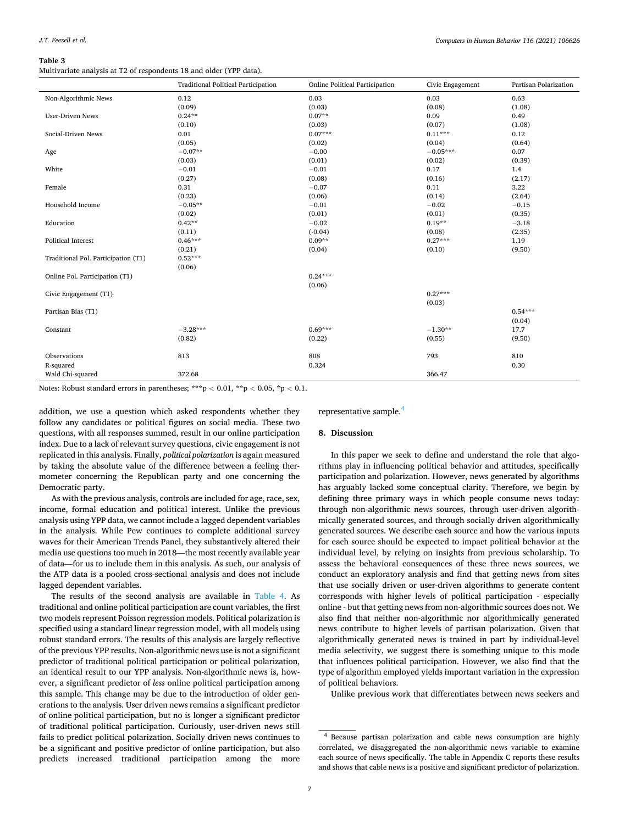#### <span id="page-6-0"></span>**Table 3**

Multivariate analysis at T2 of respondents 18 and older (YPP data).

|                                     | <b>Traditional Political Participation</b> | Online Political Participation | Civic Engagement | Partisan Polarization |
|-------------------------------------|--------------------------------------------|--------------------------------|------------------|-----------------------|
| Non-Algorithmic News                | 0.12                                       | 0.03                           | 0.03             | 0.63                  |
|                                     | (0.09)                                     | (0.03)                         | (0.08)           | (1.08)                |
| <b>User-Driven News</b>             | $0.24***$                                  | $0.07**$                       | 0.09             | 0.49                  |
|                                     | (0.10)                                     | (0.03)                         | (0.07)           | (1.08)                |
| Social-Driven News                  | 0.01                                       | $0.07***$                      | $0.11***$        | 0.12                  |
|                                     | (0.05)                                     | (0.02)                         | (0.04)           | (0.64)                |
| Age                                 | $-0.07**$                                  | $-0.00$                        | $-0.05***$       | 0.07                  |
|                                     | (0.03)                                     | (0.01)                         | (0.02)           | (0.39)                |
| White                               | $-0.01$                                    | $-0.01$                        | 0.17             | 1.4                   |
|                                     | (0.27)                                     | (0.08)                         | (0.16)           | (2.17)                |
| Female                              | 0.31                                       | $-0.07$                        | 0.11             | 3.22                  |
|                                     | (0.23)                                     | (0.06)                         | (0.14)           | (2.64)                |
| Household Income                    | $-0.05**$                                  | $-0.01$                        | $-0.02$          | $-0.15$               |
|                                     | (0.02)                                     | (0.01)                         | (0.01)           | (0.35)                |
| Education                           | $0.42**$                                   | $-0.02$                        | $0.19**$         | $-3.18$               |
|                                     | (0.11)                                     | $(-0.04)$                      | (0.08)           | (2.35)                |
| <b>Political Interest</b>           | $0.46***$                                  | $0.09**$                       | $0.27***$        | 1.19                  |
|                                     | (0.21)                                     | (0.04)                         | (0.10)           | (9.50)                |
| Traditional Pol. Participation (T1) | $0.52***$                                  |                                |                  |                       |
|                                     | (0.06)                                     |                                |                  |                       |
| Online Pol. Participation (T1)      |                                            | $0.24***$                      |                  |                       |
|                                     |                                            | (0.06)                         |                  |                       |
| Civic Engagement (T1)               |                                            |                                | $0.27***$        |                       |
|                                     |                                            |                                | (0.03)           |                       |
| Partisan Bias (T1)                  |                                            |                                |                  | $0.54***$             |
|                                     |                                            |                                |                  | (0.04)                |
| Constant                            | $-3.28***$                                 | $0.69***$                      | $-1.30**$        | 17.7                  |
|                                     | (0.82)                                     | (0.22)                         | (0.55)           | (9.50)                |
| Observations                        | 813                                        | 808                            | 793              | 810                   |
| R-squared                           |                                            | 0.324                          |                  | 0.30                  |
| Wald Chi-squared                    | 372.68                                     |                                | 366.47           |                       |

Notes: Robust standard errors in parentheses; \*\*\*p *<* 0.01, \*\*p *<* 0.05, \*p *<* 0.1.

addition, we use a question which asked respondents whether they follow any candidates or political figures on social media. These two questions, with all responses summed, result in our online participation index. Due to a lack of relevant survey questions, civic engagement is not replicated in this analysis. Finally, *political polarization* is again measured by taking the absolute value of the difference between a feeling thermometer concerning the Republican party and one concerning the Democratic party.

As with the previous analysis, controls are included for age, race, sex, income, formal education and political interest. Unlike the previous analysis using YPP data, we cannot include a lagged dependent variables in the analysis. While Pew continues to complete additional survey waves for their American Trends Panel, they substantively altered their media use questions too much in 2018—the most recently available year of data—for us to include them in this analysis. As such, our analysis of the ATP data is a pooled cross-sectional analysis and does not include lagged dependent variables.

The results of the second analysis are available in [Table 4.](#page-7-0) As traditional and online political participation are count variables, the first two models represent Poisson regression models. Political polarization is specified using a standard linear regression model, with all models using robust standard errors. The results of this analysis are largely reflective of the previous YPP results. Non-algorithmic news use is not a significant predictor of traditional political participation or political polarization, an identical result to our YPP analysis. Non-algorithmic news is, however, a significant predictor of *less* online political participation among this sample. This change may be due to the introduction of older generations to the analysis. User driven news remains a significant predictor of online political participation, but no is longer a significant predictor of traditional political participation. Curiously, user-driven news still fails to predict political polarization. Socially driven news continues to be a significant and positive predictor of online participation, but also predicts increased traditional participation among the more

representative sample.<sup>4</sup>

#### **8. Discussion**

In this paper we seek to define and understand the role that algorithms play in influencing political behavior and attitudes, specifically participation and polarization. However, news generated by algorithms has arguably lacked some conceptual clarity. Therefore, we begin by defining three primary ways in which people consume news today: through non-algorithmic news sources, through user-driven algorithmically generated sources, and through socially driven algorithmically generated sources. We describe each source and how the various inputs for each source should be expected to impact political behavior at the individual level, by relying on insights from previous scholarship. To assess the behavioral consequences of these three news sources, we conduct an exploratory analysis and find that getting news from sites that use socially driven or user-driven algorithms to generate content corresponds with higher levels of political participation - especially online - but that getting news from non-algorithmic sources does not. We also find that neither non-algorithmic nor algorithmically generated news contribute to higher levels of partisan polarization. Given that algorithmically generated news is trained in part by individual-level media selectivity, we suggest there is something unique to this mode that influences political participation. However, we also find that the type of algorithm employed yields important variation in the expression of political behaviors.

Unlike previous work that differentiates between news seekers and

<sup>4</sup>Because partisan polarization and cable news consumption are highly correlated, we disaggregated the non-algorithmic news variable to examine each source of news specifically. The table in Appendix C reports these results and shows that cable news is a positive and significant predictor of polarization.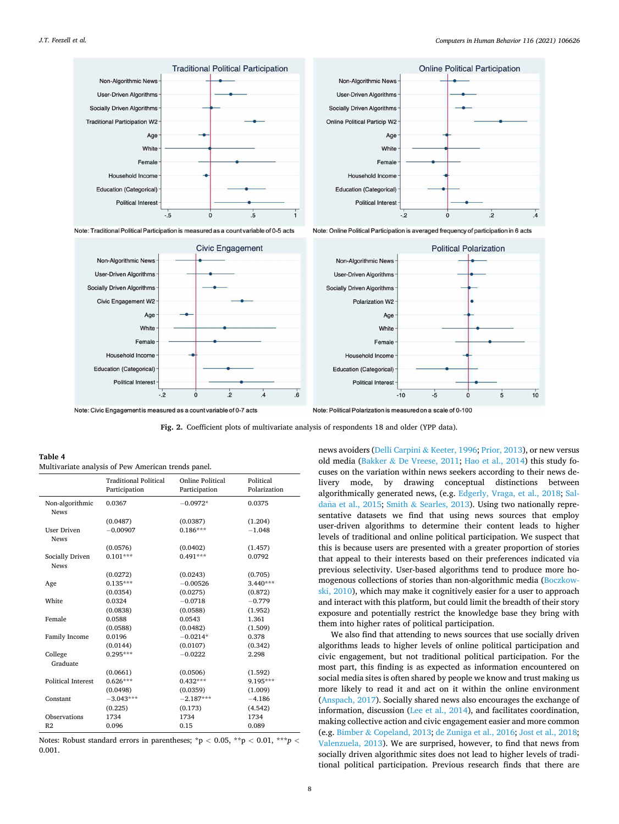<span id="page-7-0"></span>

**Fig. 2.** Coefficient plots of multivariate analysis of respondents 18 and older (YPP data).

| Table 4                                             |  |
|-----------------------------------------------------|--|
| Multivariate analysis of Pew American trends panel. |  |

|                                   | <b>Traditional Political</b><br>Participation | Online Political<br>Participation | Political<br>Polarization |
|-----------------------------------|-----------------------------------------------|-----------------------------------|---------------------------|
| Non-algorithmic<br><b>News</b>    | 0.0367                                        | $-0.0972*$                        | 0.0375                    |
|                                   | (0.0487)                                      | (0.0387)                          | (1.204)                   |
| <b>User Driven</b><br><b>News</b> | $-0.00907$                                    | $0.186***$                        | $-1.048$                  |
|                                   | (0.0576)                                      | (0.0402)                          | (1.457)                   |
| Socially Driven<br><b>News</b>    | $0.101***$                                    | $0.491***$                        | 0.0792                    |
|                                   | (0.0272)                                      | (0.0243)                          | (0.705)                   |
| Age                               | $0.135***$                                    | $-0.00526$                        | $3.440***$                |
|                                   | (0.0354)                                      | (0.0275)                          | (0.872)                   |
| White                             | 0.0324                                        | $-0.0718$                         | $-0.779$                  |
|                                   | (0.0838)                                      | (0.0588)                          | (1.952)                   |
| Female                            | 0.0588                                        | 0.0543                            | 1.361                     |
|                                   | (0.0588)                                      | (0.0482)                          | (1.509)                   |
| Family Income                     | 0.0196                                        | $-0.0214*$                        | 0.378                     |
|                                   | (0.0144)                                      | (0.0107)                          | (0.342)                   |
| College                           | $0.295***$                                    | $-0.0222$                         | 2.298                     |
| Graduate                          |                                               |                                   |                           |
|                                   | (0.0661)                                      | (0.0506)                          | (1.592)                   |
| <b>Political Interest</b>         | $0.626***$                                    | $0.432***$                        | 9.195***                  |
|                                   | (0.0498)                                      | (0.0359)                          | (1.009)                   |
| Constant                          | $-3.043***$                                   | $-2.187***$                       | $-4.186$                  |
|                                   | (0.225)                                       | (0.173)                           | (4.542)                   |
| Observations                      | 1734                                          | 1734                              | 1734                      |
| R <sub>2</sub>                    | 0.096                                         | 0.15                              | 0.089                     |

Notes: Robust standard errors in parentheses; \*p *<* 0.05, \*\*p *<* 0.01, \*\*\**p <* 0.001.

news avoiders ([Delli Carpini](#page-9-0) & Keeter, 1996; [Prior, 2013\)](#page-9-0), or new versus old media (Bakker & [De Vreese, 2011](#page-8-0); [Hao et al., 2014](#page-9-0)) this study focuses on the variation within news seekers according to their news delivery mode, by drawing conceptual distinctions between algorithmically generated news, (e.g. [Edgerly, Vraga, et al., 2018;](#page-9-0) [Sal-](#page-9-0)daña et al., 2015; Smith & [Searles, 2013\)](#page-9-0). Using two nationally representative datasets we find that using news sources that employ user-driven algorithms to determine their content leads to higher levels of traditional and online political participation. We suspect that this is because users are presented with a greater proportion of stories that appeal to their interests based on their preferences indicated via previous selectivity. User-based algorithms tend to produce more homogenous collections of stories than non-algorithmic media ([Boczkow](#page-8-0)[ski, 2010\)](#page-8-0), which may make it cognitively easier for a user to approach and interact with this platform, but could limit the breadth of their story exposure and potentially restrict the knowledge base they bring with them into higher rates of political participation.

We also find that attending to news sources that use socially driven algorithms leads to higher levels of online political participation and civic engagement, but not traditional political participation. For the most part, this finding is as expected as information encountered on social media sites is often shared by people we know and trust making us more likely to read it and act on it within the online environment ([Anspach, 2017\)](#page-8-0). Socially shared news also encourages the exchange of information, discussion ([Lee et al., 2014](#page-9-0)), and facilitates coordination, making collective action and civic engagement easier and more common (e.g. Bimber & [Copeland, 2013](#page-8-0); [de Zuniga et al., 2016;](#page-10-0) [Jost et al., 2018](#page-9-0); [Valenzuela, 2013](#page-10-0)). We are surprised, however, to find that news from socially driven algorithmic sites does not lead to higher levels of traditional political participation. Previous research finds that there are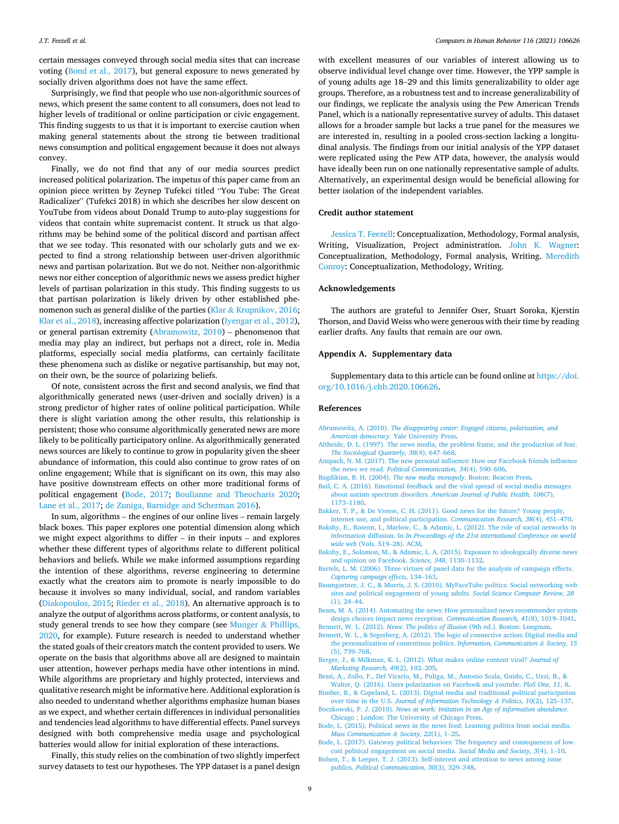<span id="page-8-0"></span>certain messages conveyed through social media sites that can increase voting ([Bond et al., 2017](#page-9-0)), but general exposure to news generated by socially driven algorithms does not have the same effect.

Surprisingly, we find that people who use non-algorithmic sources of news, which present the same content to all consumers, does not lead to higher levels of traditional or online participation or civic engagement. This finding suggests to us that it is important to exercise caution when making general statements about the strong tie between traditional news consumption and political engagement because it does not always convey.

Finally, we do not find that any of our media sources predict increased political polarization. The impetus of this paper came from an opinion piece written by Zeynep Tufekci titled "You Tube: The Great Radicalizer" (Tufekci 2018) in which she describes her slow descent on YouTube from videos about Donald Trump to auto-play suggestions for videos that contain white supremacist content. It struck us that algorithms may be behind some of the political discord and partisan affect that we see today. This resonated with our scholarly guts and we expected to find a strong relationship between user-driven algorithmic news and partisan polarization. But we do not. Neither non-algorithmic news nor either conception of algorithmic news we assess predict higher levels of partisan polarization in this study. This finding suggests to us that partisan polarization is likely driven by other established phe-nomenon such as general dislike of the parties (Klar & [Krupnikov, 2016](#page-9-0); [Klar et al., 2018\)](#page-9-0), increasing affective polarization [\(Iyengar et al., 2012](#page-9-0)), or general partisan extremity (Abramowitz, 2010) – phenomenon that media may play an indirect, but perhaps not a direct, role in. Media platforms, especially social media platforms, can certainly facilitate these phenomena such as dislike or negative partisanship, but may not, on their own, be the source of polarizing beliefs.

Of note, consistent across the first and second analysis, we find that algorithmically generated news (user-driven and socially driven) is a strong predictor of higher rates of online political participation. While there is slight variation among the other results, this relationship is persistent; those who consume algorithmically generated news are more likely to be politically participatory online. As algorithmically generated news sources are likely to continue to grow in popularity given the sheer abundance of information, this could also continue to grow rates of on online engagement; While that is significant on its own, this may also have positive downstream effects on other more traditional forms of political engagement (Bode, 2017; [Boulianne and Theocharis 2020](#page-9-0); [Lane et al., 2017;](#page-9-0) [de Zuniga, Barnidge and Scherman 2016\)](#page-10-0).

In sum, algorithms – the engines of our online lives – remain largely black boxes. This paper explores one potential dimension along which we might expect algorithms to differ – in their inputs – and explores whether these different types of algorithms relate to different political behaviors and beliefs. While we make informed assumptions regarding the intention of these algorithms, reverse engineering to determine exactly what the creators aim to promote is nearly impossible to do because it involves so many individual, social, and random variables ([Diakopoulos, 2015](#page-9-0); [Rieder et al., 2018\)](#page-9-0). An alternative approach is to analyze the output of algorithms across platforms, or content analysis, to study general trends to see how they compare (see [Munger](#page-9-0) & Phillips, [2020,](#page-9-0) for example). Future research is needed to understand whether the stated goals of their creators match the content provided to users. We operate on the basis that algorithms above all are designed to maintain user attention, however perhaps media have other intentions in mind. While algorithms are proprietary and highly protected, interviews and qualitative research might be informative here. Additional exploration is also needed to understand whether algorithms emphasize human biases as we expect, and whether certain differences in individual personalities and tendencies lead algorithms to have differential effects. Panel surveys designed with both comprehensive media usage and psychological batteries would allow for initial exploration of these interactions.

Finally, this study relies on the combination of two slightly imperfect survey datasets to test our hypotheses. The YPP dataset is a panel design

with excellent measures of our variables of interest allowing us to observe individual level change over time. However, the YPP sample is of young adults age 18–29 and this limits generalizability to older age groups. Therefore, as a robustness test and to increase generalizability of our findings, we replicate the analysis using the Pew American Trends Panel, which is a nationally representative survey of adults. This dataset allows for a broader sample but lacks a true panel for the measures we are interested in, resulting in a pooled cross-section lacking a longitudinal analysis. The findings from our initial analysis of the YPP dataset were replicated using the Pew ATP data, however, the analysis would have ideally been run on one nationally representative sample of adults. Alternatively, an experimental design would be beneficial allowing for better isolation of the independent variables.

#### **Credit author statement**

Jessica T. Feezell: Conceptualization, Methodology, Formal analysis, Writing, Visualization, Project administration. John K. Wagner: Conceptualization, Methodology, Formal analysis, Writing. Meredith Conroy: Conceptualization, Methodology, Writing.

#### **Acknowledgements**

The authors are grateful to Jennifer Oser, Stuart Soroka, Kjerstin Thorson, and David Weiss who were generous with their time by reading earlier drafts. Any faults that remain are our own.

# **Appendix A. Supplementary data**

Supplementary data to this article can be found online at [https://doi.](https://doi.org/10.1016/j.chb.2020.106626)  [org/10.1016/j.chb.2020.106626.](https://doi.org/10.1016/j.chb.2020.106626)

#### **References**

- Abramowitz, A. (2010). *[The disappearing center: Engaged citizens, polarization, and](http://refhub.elsevier.com/S0747-5632(20)30373-3/sref1)  American democracy*[. Yale University Press.](http://refhub.elsevier.com/S0747-5632(20)30373-3/sref1)
- [Altheide, D. L. \(1997\). The news media, the problem frame, and the production of fear.](http://refhub.elsevier.com/S0747-5632(20)30373-3/sref2)  *[The Sociological Quarterly, 38](http://refhub.elsevier.com/S0747-5632(20)30373-3/sref2)*(4), 647–668.
- [Anspach, N. M. \(2017\). The new personal influence: How our Facebook friends influence](http://refhub.elsevier.com/S0747-5632(20)30373-3/sref3)  the news we read. *[Political Communication, 34](http://refhub.elsevier.com/S0747-5632(20)30373-3/sref3)*(4), 590–606.
- [Bagdikian, B. H. \(2004\).](http://refhub.elsevier.com/S0747-5632(20)30373-3/sref4) *The new media monopoly*. Boston: Beacon Press.
- [Bail, C. A. \(2016\). Emotional feedback and the viral spread of social media messages](http://refhub.elsevier.com/S0747-5632(20)30373-3/sref5) about autism spectrum disorders. *[American Journal of Public Health, 106](http://refhub.elsevier.com/S0747-5632(20)30373-3/sref5)*(7), [1173](http://refhub.elsevier.com/S0747-5632(20)30373-3/sref5)–1180.
- [Bakker, T. P., & De Vreese, C. H. \(2011\). Good news for the future? Young people,](http://refhub.elsevier.com/S0747-5632(20)30373-3/sref6) [internet use, and political participation.](http://refhub.elsevier.com/S0747-5632(20)30373-3/sref6) *Communication Research, 38*(4), 451–470.
- [Bakshy, E., Rosenn, I., Marlow, C., & Adamic, L. \(2012\). The role of social networks in](http://refhub.elsevier.com/S0747-5632(20)30373-3/sref7)  information diffusion. In *[In Proceedings of the 21st international Conference on world](http://refhub.elsevier.com/S0747-5632(20)30373-3/sref7) wide web* [\(Vols. 519](http://refhub.elsevier.com/S0747-5632(20)30373-3/sref7)–28). ACM.
- [Bakshy, E., Solomon, M., & Adamic, L. A. \(2015\). Exposure to ideologically diverse news](http://refhub.elsevier.com/S0747-5632(20)30373-3/sref8)  [and opinion on Facebook.](http://refhub.elsevier.com/S0747-5632(20)30373-3/sref8) *Science, 348*, 1130–1132.
- [Bartels, L. M. \(2006\). Three virtues of panel data for the analysis of campaign effects.](http://refhub.elsevier.com/S0747-5632(20)30373-3/sref9)  *[Capturing campaign effects](http://refhub.elsevier.com/S0747-5632(20)30373-3/sref9)*, 134–163.
- [Baumgartner, J. C., & Morris, J. S. \(2010\). MyFaceTube politics: Social networking web](http://refhub.elsevier.com/S0747-5632(20)30373-3/sref10)  [sites and political engagement of young adults.](http://refhub.elsevier.com/S0747-5632(20)30373-3/sref10) *Social Science Computer Review, 28*  [\(1\), 24](http://refhub.elsevier.com/S0747-5632(20)30373-3/sref10)–44.

[Beam, M. A. \(2014\). Automating the news: How personalized news recommender system](http://refhub.elsevier.com/S0747-5632(20)30373-3/sref11)  [design choices impact news reception.](http://refhub.elsevier.com/S0747-5632(20)30373-3/sref11) *Communication Research, 41*(8), 1019–1041. Bennett, W. L. (2012). *[News: The politics of illusion](http://refhub.elsevier.com/S0747-5632(20)30373-3/sref13)* (9th ed.). Boston: Longman.

- [Bennett, W. L., & Segerberg, A. \(2012\). The logic of connective action: Digital media and](http://refhub.elsevier.com/S0747-5632(20)30373-3/sref14)  [the personalization of contentious politics.](http://refhub.elsevier.com/S0747-5632(20)30373-3/sref14) *Information, Communication & Society, 15*  [\(5\), 739](http://refhub.elsevier.com/S0747-5632(20)30373-3/sref14)–768.
- [Berger, J., & Milkman, K. L. \(2012\). What makes online content viral?](http://refhub.elsevier.com/S0747-5632(20)30373-3/sref15) *Journal of [Marketing Research, 49](http://refhub.elsevier.com/S0747-5632(20)30373-3/sref15)*(2), 192–205.
- [Bessi, A., Zollo, F., Del Vicario, M., Puliga, M., Antonio Scala, Guido, C., Uzzi, B., &](http://refhub.elsevier.com/S0747-5632(20)30373-3/sref16) [Walter, Q. \(2016\). Users polarization on Facebook and youtube.](http://refhub.elsevier.com/S0747-5632(20)30373-3/sref16) *PloS One, 11*, 8.
- [Bimber, B., & Copeland, L. \(2013\). Digital media and traditional political participation](http://refhub.elsevier.com/S0747-5632(20)30373-3/sref17) over time in the U.S. *[Journal of Information Technology](http://refhub.elsevier.com/S0747-5632(20)30373-3/sref17) & Politics, 10*(2), 125–137. Boczkowski, P. J. (2010). *[News at work: Imitation in an Age of information abundance](http://refhub.elsevier.com/S0747-5632(20)30373-3/sref18)*.
- [Chicago ; London: The University of Chicago Press.](http://refhub.elsevier.com/S0747-5632(20)30373-3/sref18) [Bode, L. \(2015\). Political news in the news feed: Learning politics from social media.](http://refhub.elsevier.com/S0747-5632(20)30373-3/sref19)
- *[Mass Communication](http://refhub.elsevier.com/S0747-5632(20)30373-3/sref19) & Society, 22*(1), 1–25.

[Bode, L. \(2017\). Gateway political behaviors: The frequency and consequences of low](http://refhub.elsevier.com/S0747-5632(20)30373-3/sref20)[cost political engagement on social media.](http://refhub.elsevier.com/S0747-5632(20)30373-3/sref20) *Social Media and Society, 3*(4), 1–10.

[Bolsen, T., & Leeper, T. J. \(2013\). Self-interest and attention to news among issue](http://refhub.elsevier.com/S0747-5632(20)30373-3/sref21)  publics. *[Political Communication, 30](http://refhub.elsevier.com/S0747-5632(20)30373-3/sref21)*(3), 329–348.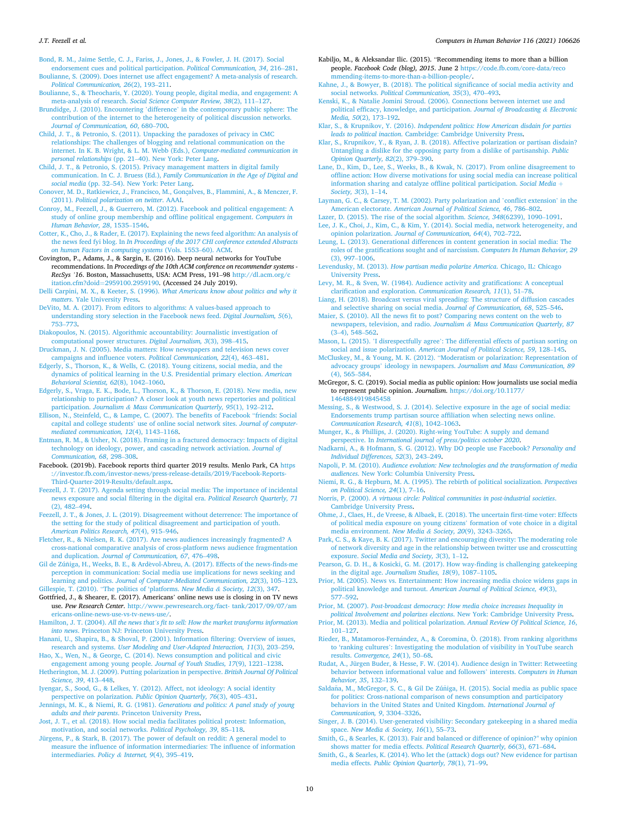<span id="page-9-0"></span>[Bond, R. M., Jaime Settle, C. J., Fariss, J., Jones, J., & Fowler, J. H. \(2017\). Social](http://refhub.elsevier.com/S0747-5632(20)30373-3/sref22)  [endorsement cues and political participation.](http://refhub.elsevier.com/S0747-5632(20)30373-3/sref22) *Political Communication, 34*, 216–281.

[Boulianne, S. \(2009\). Does internet use affect engagement? A meta-analysis of research.](http://refhub.elsevier.com/S0747-5632(20)30373-3/sref23)  *[Political Communication, 26](http://refhub.elsevier.com/S0747-5632(20)30373-3/sref23)*(2), 193–211.

- [Boulianne, S., & Theocharis, Y. \(2020\). Young people, digital media, and engagement: A](http://refhub.elsevier.com/S0747-5632(20)30373-3/sref24)  meta-analysis of research. *[Social Science Computer Review, 38](http://refhub.elsevier.com/S0747-5632(20)30373-3/sref24)*(2), 111–127.
- Brundidge, J. (2010). Encountering 'difference' [in the contemporary public sphere: The](http://refhub.elsevier.com/S0747-5632(20)30373-3/sref25)  [contribution of the internet to the heterogeneity of political discussion networks.](http://refhub.elsevier.com/S0747-5632(20)30373-3/sref25)  *[Journal of Communication, 60](http://refhub.elsevier.com/S0747-5632(20)30373-3/sref25)*, 680–700.
- [Child, J. T., & Petronio, S. \(2011\). Unpacking the paradoxes of privacy in CMC](http://refhub.elsevier.com/S0747-5632(20)30373-3/sref28)  [relationships: The challenges of blogging and relational communication on the](http://refhub.elsevier.com/S0747-5632(20)30373-3/sref28) [internet. In K. B. Wright, & L. M. Webb \(Eds.\),](http://refhub.elsevier.com/S0747-5632(20)30373-3/sref28) *Computer-mediated communication in personal relationships* (pp. 21–[40\). New York: Peter Lang](http://refhub.elsevier.com/S0747-5632(20)30373-3/sref28).
- [Child, J. T., & Petronio, S. \(2015\). Privacy management matters in digital family](http://refhub.elsevier.com/S0747-5632(20)30373-3/sref29)  communication. In C. J. Bruess (Ed.), *[Family Communication in the Age of Digital and](http://refhub.elsevier.com/S0747-5632(20)30373-3/sref29)  social media* (pp. 32–[54\). New York: Peter Lang.](http://refhub.elsevier.com/S0747-5632(20)30373-3/sref29)
- [Conover, M. D., Ratkiewicz, J., Francisco, M., Gon](http://refhub.elsevier.com/S0747-5632(20)30373-3/sref30)ςalves, B., Flammini, A., & Menczer, F. (2011). *[Political polarization on twitter](http://refhub.elsevier.com/S0747-5632(20)30373-3/sref30)*. AAAI.
- [Conroy, M., Feezell, J., & Guerrero, M. \(2012\). Facebook and political engagement: A](http://refhub.elsevier.com/S0747-5632(20)30373-3/sref31)  [study of online group membership and offline political engagement.](http://refhub.elsevier.com/S0747-5632(20)30373-3/sref31) *Computers in [Human Behavior, 28](http://refhub.elsevier.com/S0747-5632(20)30373-3/sref31)*, 1535–1546.
- [Cotter, K., Cho, J., & Rader, E. \(2017\). Explaining the news feed algorithm: An analysis of](http://refhub.elsevier.com/S0747-5632(20)30373-3/sref32)  the news feed fyi blog. In *[In Proceedings of the 2017 CHI conference extended Abstracts](http://refhub.elsevier.com/S0747-5632(20)30373-3/sref32)  [on human Factors in computing systems](http://refhub.elsevier.com/S0747-5632(20)30373-3/sref32)* (Vols. 1553–60). ACM.
- Covington, P., Adams, J., & Sargin, E. (2016). Deep neural networks for YouTube recommendations. In *Proceedings of the 10th ACM conference on recommender systems - RecSys '16*. Boston, Massachusetts, USA: ACM Press, 191–98 [http://dl.acm.org/c](http://dl.acm.org/citation.cfm?doid=2959100.2959190) itation.cfm?doid=[2959100.2959190.](http://dl.acm.org/citation.cfm?doid=2959100.2959190) (Accessed 24 July 2019).
- Delli Carpini, M. X., & Keeter, S. (1996). *[What Americans know about politics and why it](http://refhub.elsevier.com/S0747-5632(20)30373-3/sref34)  matters*[. Yale University Press](http://refhub.elsevier.com/S0747-5632(20)30373-3/sref34).
- [DeVito, M. A. \(2017\). From editors to algorithms: A values-based approach to](http://refhub.elsevier.com/S0747-5632(20)30373-3/sref35) [understanding story selection in the Facebook news feed.](http://refhub.elsevier.com/S0747-5632(20)30373-3/sref35) *Digital Journalism, 5*(6), 753–[773](http://refhub.elsevier.com/S0747-5632(20)30373-3/sref35).
- [Diakopoulos, N. \(2015\). Algorithmic accountability: Journalistic investigation of](http://refhub.elsevier.com/S0747-5632(20)30373-3/sref36) [computational power structures.](http://refhub.elsevier.com/S0747-5632(20)30373-3/sref36) *Digital Journalism, 3*(3), 398–415. [Druckman, J. N. \(2005\). Media matters: How newspapers and television news cover](http://refhub.elsevier.com/S0747-5632(20)30373-3/sref37)
- [campaigns and influence voters.](http://refhub.elsevier.com/S0747-5632(20)30373-3/sref37) *Political Communication, 22*(4), 463–481.
- [Edgerly, S., Thorson, K., & Wells, C. \(2018\). Young citizens, social media, and the](http://refhub.elsevier.com/S0747-5632(20)30373-3/sref38)  [dynamics of political learning in the U.S. Presidential primary election.](http://refhub.elsevier.com/S0747-5632(20)30373-3/sref38) *American [Behavioral Scientist, 62](http://refhub.elsevier.com/S0747-5632(20)30373-3/sref38)*(8), 1042–1060.
- [Edgerly, S., Vraga, E. K., Bode, L., Thorson, K., & Thorson, E. \(2018\). New media, new](http://refhub.elsevier.com/S0747-5632(20)30373-3/sref39)  [relationship to participation? A closer look at youth news repertories and political](http://refhub.elsevier.com/S0747-5632(20)30373-3/sref39)  participation. *Journalism & [Mass Communication Quarterly, 95](http://refhub.elsevier.com/S0747-5632(20)30373-3/sref39)*(1), 192–212.
- [Ellison, N., Steinfeld, C., & Lampe, C. \(2007\). The benefits of Facebook](http://refhub.elsevier.com/S0747-5632(20)30373-3/optlfhzCf4mES) "friends: Social capital and college students' [use of online social network sites.](http://refhub.elsevier.com/S0747-5632(20)30373-3/optlfhzCf4mES) *Journal of computer[mediated communication, 12](http://refhub.elsevier.com/S0747-5632(20)30373-3/optlfhzCf4mES)*(4), 1143–1168.
- [Entman, R. M., & Usher, N. \(2018\). Framing in a fractured democracy: Impacts of digital](http://refhub.elsevier.com/S0747-5632(20)30373-3/sref40)  [technology on ideology, power, and cascading network activiation.](http://refhub.elsevier.com/S0747-5632(20)30373-3/sref40) *Journal of [Communication, 68](http://refhub.elsevier.com/S0747-5632(20)30373-3/sref40)*, 298–308.
- Facebook. (2019b). Facebook reports third quarter 2019 results. Menlo Park, CA [https](https://investor.fb.com/investor-news/press-release-details/2019/Facebook-Reports-Third-Quarter-2019-Results/default.aspx) [://investor.fb.com/investor-news/press-release-details/2019/Facebook-Reports-](https://investor.fb.com/investor-news/press-release-details/2019/Facebook-Reports-Third-Quarter-2019-Results/default.aspx)[Third-Quarter-2019-Results/default.aspx.](https://investor.fb.com/investor-news/press-release-details/2019/Facebook-Reports-Third-Quarter-2019-Results/default.aspx)
- [Feezell, J. T. \(2017\). Agenda setting through social media: The importance of incidental](http://refhub.elsevier.com/S0747-5632(20)30373-3/sref43)  [news exposure and social filtering in the digital era.](http://refhub.elsevier.com/S0747-5632(20)30373-3/sref43) *Political Research Quarterly, 71*  [\(2\), 482](http://refhub.elsevier.com/S0747-5632(20)30373-3/sref43)–494.
- [Feezell, J. T., & Jones, J. L. \(2019\). Disagreement without deterrence: The importance of](http://refhub.elsevier.com/S0747-5632(20)30373-3/sref44)  [the setting for the study of political disagreement and participation of youth.](http://refhub.elsevier.com/S0747-5632(20)30373-3/sref44)  *[American Politics Research, 47](http://refhub.elsevier.com/S0747-5632(20)30373-3/sref44)*(4), 915–946.
- [Fletcher, R., & Nielsen, R. K. \(2017\). Are news audiences increasingly fragmented? A](http://refhub.elsevier.com/S0747-5632(20)30373-3/sref45)  [cross-national comparative analysis of cross-platform news audience fragmentation](http://refhub.elsevier.com/S0747-5632(20)30373-3/sref45) and duplication. *[Journal of Communication, 67](http://refhub.elsevier.com/S0747-5632(20)30373-3/sref45)*, 476–498.
- Gil de Zúñiga, H., Weeks, B. E., & Ardèvol-Abreu, A. (2017). Effects of the news-finds-me [perception in communication: Social media use implications for news seeking and](http://refhub.elsevier.com/S0747-5632(20)30373-3/sref47)  learning and politics. *[Journal of Computer-Mediated Communication, 22](http://refhub.elsevier.com/S0747-5632(20)30373-3/sref47)*(3), 105–123. Gillespie, T. (2010). "[The politics of 'platforms.](http://refhub.elsevier.com/S0747-5632(20)30373-3/sref46) *New Media & Society, 12*(3), 347.
- Gottfried, J., & Shearer, E. (2017). Americans' online news use is closing in on TV news use. *Pew Research Center*. [http://www.pewresearch.org/fact- tank/2017/09/07/am](http://www.pewresearch.org/fact-%20tank/2017/09/07/americans-online-news-use-vs-tv-news-use/)  [ericans-online-news-use-vs-tv-news-use/](http://www.pewresearch.org/fact-%20tank/2017/09/07/americans-online-news-use-vs-tv-news-use/).
- Hamilton, J. T. (2004). *All the news that'[s fit to sell: How the market transforms information](http://refhub.elsevier.com/S0747-5632(20)30373-3/sref49)  into news*[. Princeton NJ: Princeton University Press](http://refhub.elsevier.com/S0747-5632(20)30373-3/sref49).
- [Hanani, U., Shapira, B., & Shoval, P. \(2001\). Information filtering: Overview of issues,](http://refhub.elsevier.com/S0747-5632(20)30373-3/sref50) research and systems. *[User Modeling and User-Adapted Interaction, 11](http://refhub.elsevier.com/S0747-5632(20)30373-3/sref50)*(3), 203–259.
- [Hao, X., Wen, N., & George, C. \(2014\). News consumption and political and civic](http://refhub.elsevier.com/S0747-5632(20)30373-3/sref51) [engagement among young people.](http://refhub.elsevier.com/S0747-5632(20)30373-3/sref51) *Journal of Youth Studies, 17*(9), 1221–1238.
- [Hetherington, M. J. \(2009\). Putting polarization in perspective.](http://refhub.elsevier.com/S0747-5632(20)30373-3/sref52) *British Journal Of Political [Science, 39](http://refhub.elsevier.com/S0747-5632(20)30373-3/sref52)*, 413–448.
- [Iyengar, S., Sood, G., & Lelkes, Y. \(2012\). Affect, not ideology: A social identity](http://refhub.elsevier.com/S0747-5632(20)30373-3/sref53) [perspective on polarization.](http://refhub.elsevier.com/S0747-5632(20)30373-3/sref53) *Public Opinion Quarterly, 76*(3), 405–431.
- Jennings, M. K., & Niemi, R. G. (1981). *[Generations and politics: A panel study of young](http://refhub.elsevier.com/S0747-5632(20)30373-3/sref54) adults and their parents*[. Princeton University Press](http://refhub.elsevier.com/S0747-5632(20)30373-3/sref54).
- [Jost, J. T., et al. \(2018\). How social media facilitates political protest: Information,](http://refhub.elsevier.com/S0747-5632(20)30373-3/sref55) [motivation, and social networks.](http://refhub.elsevier.com/S0747-5632(20)30373-3/sref55) *Political Psychology, 39*, 85–118.
- [Jürgens, P., & Stark, B. \(2017\). The power of default on reddit: A general model to](http://refhub.elsevier.com/S0747-5632(20)30373-3/sref56) [measure the influence of information intermediaries: The influence of information](http://refhub.elsevier.com/S0747-5632(20)30373-3/sref56) [intermediaries.](http://refhub.elsevier.com/S0747-5632(20)30373-3/sref56) *Policy & Internet, 9*(4), 395–419.
- Kabiljo, M., & Aleksandar Ilic. (2015). "Recommending items to more than a billion people. *Facebook Code (blog), 2015*. June 2 [https://code.fb.com/core-data/reco](https://code.fb.com/core-data/recommending-items-to-more-than-a-billion-people/) [mmending-items-to-more-than-a-billion-people/](https://code.fb.com/core-data/recommending-items-to-more-than-a-billion-people/).
- [Kahne, J., & Bowyer, B. \(2018\). The political significance of social media activity and](http://refhub.elsevier.com/S0747-5632(20)30373-3/sref58) social networks. *[Political Communication, 35](http://refhub.elsevier.com/S0747-5632(20)30373-3/sref58)*(3), 470–493.
- [Kenski, K., & Natalie Jomini Stroud. \(2006\). Connections between internet use and](http://refhub.elsevier.com/S0747-5632(20)30373-3/sref59)  [political efficacy, knowledge, and participation.](http://refhub.elsevier.com/S0747-5632(20)30373-3/sref59) *Journal of Broadcasting & Electronic [Media, 50](http://refhub.elsevier.com/S0747-5632(20)30373-3/sref59)*(2), 173–192.
- Klar, S., & Krupnikov, Y. (2016). *[Independent politics: How American disdain for parties](http://refhub.elsevier.com/S0747-5632(20)30373-3/sref60)  leads to political inaction*[. Cambridge: Cambridge University Press](http://refhub.elsevier.com/S0747-5632(20)30373-3/sref60).
- [Klar, S., Krupnikov, Y., & Ryan, J. B. \(2018\). Affective polarization or partisan disdain?](http://refhub.elsevier.com/S0747-5632(20)30373-3/sref61)  [Untangling a dislike for the opposing party from a dislike of partisanship.](http://refhub.elsevier.com/S0747-5632(20)30373-3/sref61) *Public [Opinion Quarterly, 82](http://refhub.elsevier.com/S0747-5632(20)30373-3/sref61)*(2), 379–390.
- [Lane, D., Kim, D., Lee, S., Weeks, B., & Kwak, N. \(2017\). From online disagreement to](http://refhub.elsevier.com/S0747-5632(20)30373-3/sref62)  [offline action: How diverse motivations for using social media can increase political](http://refhub.elsevier.com/S0747-5632(20)30373-3/sref62)  [information sharing and catalyze offline political participation.](http://refhub.elsevier.com/S0747-5632(20)30373-3/sref62) *Social Media* + *[Society, 3](http://refhub.elsevier.com/S0747-5632(20)30373-3/sref62)*(3), 1–14.
- [Layman, G. C., & Carsey, T. M. \(2002\). Party polarization and](http://refhub.elsevier.com/S0747-5632(20)30373-3/sref63) 'conflict extension' in the American electorate. *[American Journal of Political Science, 46](http://refhub.elsevier.com/S0747-5632(20)30373-3/sref63)*, 786–802.
- [Lazer, D. \(2015\). The rise of the social algorithm.](http://refhub.elsevier.com/S0747-5632(20)30373-3/sref64) *Science, 348*(6239), 1090–1091. [Lee, J. K., Choi, J., Kim, C., & Kim, Y. \(2014\). Social media, network heterogeneity, and](http://refhub.elsevier.com/S0747-5632(20)30373-3/sref65)  opinion polarization. *[Journal of Communication, 64](http://refhub.elsevier.com/S0747-5632(20)30373-3/sref65)*(4), 702–722.
- [Leung, L. \(2013\). Generational differences in content generation in social media: The](http://refhub.elsevier.com/S0747-5632(20)30373-3/sref66) [roles of the gratifications sought and of narcissism.](http://refhub.elsevier.com/S0747-5632(20)30373-3/sref66) *Computers In Human Behavior, 29*  [\(3\), 997](http://refhub.elsevier.com/S0747-5632(20)30373-3/sref66)–1006.
- Levendusky, M. (2013). *[How partisan media polarize America](http://refhub.elsevier.com/S0747-5632(20)30373-3/sref67)*. Chicago, IL: Chicago [University Press](http://refhub.elsevier.com/S0747-5632(20)30373-3/sref67).
- [Levy, M. R., & Sven, W. \(1984\). Audience activity and gratifications: A conceptual](http://refhub.elsevier.com/S0747-5632(20)30373-3/sref68) [clarification and exploration.](http://refhub.elsevier.com/S0747-5632(20)30373-3/sref68) *Communication Research, 11*(1), 51–78.
- [Liang, H. \(2018\). Broadcast versus viral spreading: The structure of diffusion cascades](http://refhub.elsevier.com/S0747-5632(20)30373-3/sref69)  [and selective sharing on social media.](http://refhub.elsevier.com/S0747-5632(20)30373-3/sref69) *Journal of Communication, 68*, 525–546.
- [Maier, S. \(2010\). All the news fit to post? Comparing news content on the web to](http://refhub.elsevier.com/S0747-5632(20)30373-3/sref70) [newspapers, television, and radio.](http://refhub.elsevier.com/S0747-5632(20)30373-3/sref70) *Journalism & Mass Communication Quarterly, 87*  (3–[4\), 548](http://refhub.elsevier.com/S0747-5632(20)30373-3/sref70)–562.
- Mason, L. (2015). 'I disrespectfully agree'[: The differential effects of partisan sorting on](http://refhub.elsevier.com/S0747-5632(20)30373-3/sref71)  social and issue polarization. *[American Journal of Political Science, 59](http://refhub.elsevier.com/S0747-5632(20)30373-3/sref71)*, 128–145.
- McCluskey, M., & Young, M. K. (2012). "[Moderatism or polarization: Representation of](http://refhub.elsevier.com/S0747-5632(20)30373-3/sref72)  advocacy groups' ideology in newspapers. *[Journalism and Mass Communication, 89](http://refhub.elsevier.com/S0747-5632(20)30373-3/sref72)*  [\(4\), 565](http://refhub.elsevier.com/S0747-5632(20)30373-3/sref72)–584.
- McGregor, S. C. (2019). Social media as public opinion: How journalists use social media to represent public opinion. *Journalism*. [https://doi.org/10.1177/](https://doi.org/10.1177/1464884919845458)  [1464884919845458](https://doi.org/10.1177/1464884919845458)
- [Messing, S., & Westwood, S. J. \(2014\). Selective exposure in the age of social media:](http://refhub.elsevier.com/S0747-5632(20)30373-3/sref74) [Endorsements trump partisan source affiliation when selecting news online.](http://refhub.elsevier.com/S0747-5632(20)30373-3/sref74)  *[Communication Research, 41](http://refhub.elsevier.com/S0747-5632(20)30373-3/sref74)*(8), 1042–1063.
- [Munger, K., & Phillips, J. \(2020\). Right-wing YouTube: A supply and demand](http://refhub.elsevier.com/S0747-5632(20)30373-3/sref75) perspective. In *[International journal of press/politics october 2020](http://refhub.elsevier.com/S0747-5632(20)30373-3/sref75)*.
- [Nadkarni, A., & Hofmann, S. G. \(2012\). Why DO people use Facebook?](http://refhub.elsevier.com/S0747-5632(20)30373-3/sref76) *Personality and [Individual Differences, 52](http://refhub.elsevier.com/S0747-5632(20)30373-3/sref76)*(3), 243–249.
- Napoli, P. M. (2010). *[Audience evolution: New technologies and the transformation of media](http://refhub.elsevier.com/S0747-5632(20)30373-3/sref77)  audiences*[. New York: Columbia University Press](http://refhub.elsevier.com/S0747-5632(20)30373-3/sref77).
- [Niemi, R. G., & Hepburn, M. A. \(1995\). The rebirth of political socialization.](http://refhub.elsevier.com/S0747-5632(20)30373-3/sref78) *Perspectives [on Political Science, 24](http://refhub.elsevier.com/S0747-5632(20)30373-3/sref78)*(1), 7–16.
- Norris, P. (2000). *[A virtuous circle: Political communities in post-industrial societies](http://refhub.elsevier.com/S0747-5632(20)30373-3/sref79)*. [Cambridge University Press](http://refhub.elsevier.com/S0747-5632(20)30373-3/sref79).
- [Ohme, J., Claes, H., de Vreese, & Albaek, E. \(2018\). The uncertain first-time voter: Effects](http://refhub.elsevier.com/S0747-5632(20)30373-3/sref80)  [of political media exposure on young citizens](http://refhub.elsevier.com/S0747-5632(20)30373-3/sref80)' formation of vote choice in a digital [media environment.](http://refhub.elsevier.com/S0747-5632(20)30373-3/sref80) *New Media & Society, 20*(9), 3243–3265.
- [Park, C. S., & Kaye, B. K. \(2017\). Twitter and encouraging diversity: The moderating role](http://refhub.elsevier.com/S0747-5632(20)30373-3/sref81)  [of network diversity and age in the relationship between twitter use and crosscutting](http://refhub.elsevier.com/S0747-5632(20)30373-3/sref81)  exposure. *[Social Media and Society, 3](http://refhub.elsevier.com/S0747-5632(20)30373-3/sref81)*(3), 1–12.
- [Pearson, G. D. H., & Kosicki, G. M. \(2017\). How way-finding is challenging gatekeeping](http://refhub.elsevier.com/S0747-5632(20)30373-3/sref82)  in the digital age. *[Journalism Studies, 18](http://refhub.elsevier.com/S0747-5632(20)30373-3/sref82)*(9), 1087–1105.
- [Prior, M. \(2005\). News vs. Entertainment: How increasing media choice widens gaps in](http://refhub.elsevier.com/S0747-5632(20)30373-3/sref83)  political knowledge and turnout. *[American Journal of Political Science, 49](http://refhub.elsevier.com/S0747-5632(20)30373-3/sref83)*(3), 577–[592](http://refhub.elsevier.com/S0747-5632(20)30373-3/sref83).
- Prior, M. (2007). *[Post-broadcast democracy: How media choice increases Inequality in](http://refhub.elsevier.com/S0747-5632(20)30373-3/sref84)  [political Involvement and polarizes elections](http://refhub.elsevier.com/S0747-5632(20)30373-3/sref84)*. New York: Cambridge University Press.
- [Prior, M. \(2013\). Media and political polarization.](http://refhub.elsevier.com/S0747-5632(20)30373-3/sref85) *Annual Review Of Political Science, 16*, 101–[127](http://refhub.elsevier.com/S0747-5632(20)30373-3/sref85).
- Rieder, B., Matamoros-Fernández, A., & Coromina, Ò. (2018). From ranking algorithms to 'ranking cultures'[: Investigating the modulation of visibility in YouTube search](http://refhub.elsevier.com/S0747-5632(20)30373-3/sref86)  results. *[Convergence, 24](http://refhub.elsevier.com/S0747-5632(20)30373-3/sref86)*(1), 50–68.
- [Rudat, A., Jürgen Buder, & Hesse, F. W. \(2014\). Audience design in Twitter: Retweeting](http://refhub.elsevier.com/S0747-5632(20)30373-3/sref87)  [behavior between informational value and followers](http://refhub.elsevier.com/S0747-5632(20)30373-3/sref87)' interests. *Computers in Human [Behavior, 35](http://refhub.elsevier.com/S0747-5632(20)30373-3/sref87)*, 132–139.
- Saldaña, M., McGregor, S. C., & Gil De Zúñiga, H. (2015). Social media as public space [for politics: Cross-national comparison of news consumption and participatory](http://refhub.elsevier.com/S0747-5632(20)30373-3/sref88) [behaviors in the United States and United Kingdom.](http://refhub.elsevier.com/S0747-5632(20)30373-3/sref88) *International Journal of [Communication, 9](http://refhub.elsevier.com/S0747-5632(20)30373-3/sref88)*, 3304–3326.
- [Singer, J. B. \(2014\). User-generated visibility: Secondary gatekeeping in a shared media](http://refhub.elsevier.com/S0747-5632(20)30373-3/sref90)  space. *[New Media](http://refhub.elsevier.com/S0747-5632(20)30373-3/sref90) & Society, 16*(1), 55–73.

[Smith, G., & Searles, K. \(2014\). Who let the \(attack\) dogs out? New evidence for partisan](http://refhub.elsevier.com/S0747-5632(20)30373-3/sref92)  media effects. *[Public Opinion Quarterly, 78](http://refhub.elsevier.com/S0747-5632(20)30373-3/sref92)*(1), 71–99.

[Smith, G., & Searles, K. \(2013\). Fair and balanced or difference of opinion?" why opinion](http://refhub.elsevier.com/S0747-5632(20)30373-3/sref91)  [shows matter for media effects.](http://refhub.elsevier.com/S0747-5632(20)30373-3/sref91) *Political Research Quarterly, 66*(3), 671–684.